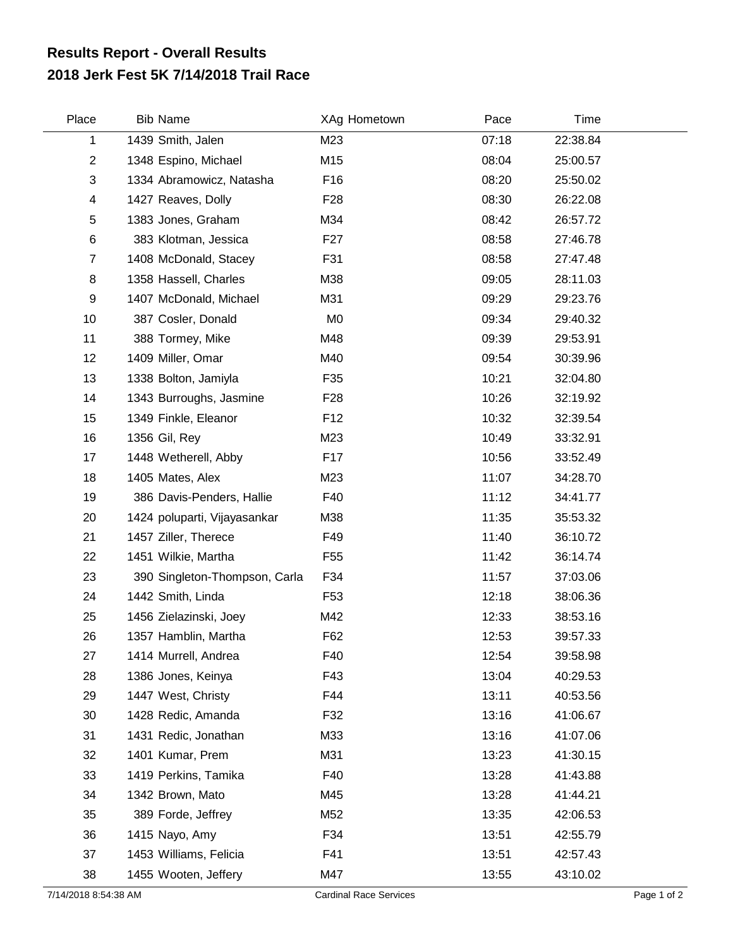## **2018 Jerk Fest 5K 7/14/2018 Trail Race Results Report - Overall Results**

| Place                   | <b>Bib Name</b>               | XAg Hometown    | Pace  | Time     |
|-------------------------|-------------------------------|-----------------|-------|----------|
| 1                       | 1439 Smith, Jalen             | M23             | 07:18 | 22:38.84 |
| $\overline{2}$          | 1348 Espino, Michael          | M15             | 08:04 | 25:00.57 |
| 3                       | 1334 Abramowicz, Natasha      | F16             | 08:20 | 25:50.02 |
| $\overline{\mathbf{4}}$ | 1427 Reaves, Dolly            | F <sub>28</sub> | 08:30 | 26:22.08 |
| $\sqrt{5}$              | 1383 Jones, Graham            | M34             | 08:42 | 26:57.72 |
| $\,6$                   | 383 Klotman, Jessica          | F <sub>27</sub> | 08:58 | 27:46.78 |
| $\overline{7}$          | 1408 McDonald, Stacey         | F31             | 08:58 | 27:47.48 |
| 8                       | 1358 Hassell, Charles         | M38             | 09:05 | 28:11.03 |
| 9                       | 1407 McDonald, Michael        | M31             | 09:29 | 29:23.76 |
| 10                      | 387 Cosler, Donald            | M <sub>0</sub>  | 09:34 | 29:40.32 |
| 11                      | 388 Tormey, Mike              | M48             | 09:39 | 29:53.91 |
| 12                      | 1409 Miller, Omar             | M40             | 09:54 | 30:39.96 |
| 13                      | 1338 Bolton, Jamiyla          | F35             | 10:21 | 32:04.80 |
| 14                      | 1343 Burroughs, Jasmine       | F <sub>28</sub> | 10:26 | 32:19.92 |
| 15                      | 1349 Finkle, Eleanor          | F <sub>12</sub> | 10:32 | 32:39.54 |
| 16                      | 1356 Gil, Rey                 | M23             | 10:49 | 33:32.91 |
| 17                      | 1448 Wetherell, Abby          | F17             | 10:56 | 33:52.49 |
| 18                      | 1405 Mates, Alex              | M23             | 11:07 | 34:28.70 |
| 19                      | 386 Davis-Penders, Hallie     | F40             | 11:12 | 34:41.77 |
| 20                      | 1424 poluparti, Vijayasankar  | M38             | 11:35 | 35:53.32 |
| 21                      | 1457 Ziller, Therece          | F49             | 11:40 | 36:10.72 |
| 22                      | 1451 Wilkie, Martha           | F <sub>55</sub> | 11:42 | 36:14.74 |
| 23                      | 390 Singleton-Thompson, Carla | F34             | 11:57 | 37:03.06 |
| 24                      | 1442 Smith, Linda             | F <sub>53</sub> | 12:18 | 38:06.36 |
| 25                      | 1456 Zielazinski, Joey        | M42             | 12:33 | 38:53.16 |
| 26                      | 1357 Hamblin, Martha          | F62             | 12:53 | 39:57.33 |
| 27                      | 1414 Murrell, Andrea          | F40             | 12:54 | 39:58.98 |
| 28                      | 1386 Jones, Keinya            | F43             | 13:04 | 40:29.53 |
| 29                      | 1447 West, Christy            | F44             | 13:11 | 40:53.56 |
| 30                      | 1428 Redic, Amanda            | F32             | 13:16 | 41:06.67 |
| 31                      | 1431 Redic, Jonathan          | M33             | 13:16 | 41:07.06 |
| 32                      | 1401 Kumar, Prem              | M31             | 13:23 | 41:30.15 |
| 33                      | 1419 Perkins, Tamika          | F40             | 13:28 | 41:43.88 |
| 34                      | 1342 Brown, Mato              | M45             | 13:28 | 41:44.21 |
| 35                      | 389 Forde, Jeffrey            | M52             | 13:35 | 42:06.53 |
| 36                      | 1415 Nayo, Amy                | F34             | 13:51 | 42:55.79 |
| 37                      | 1453 Williams, Felicia        | F41             | 13:51 | 42:57.43 |
| 38                      | 1455 Wooten, Jeffery          | M47             | 13:55 | 43:10.02 |